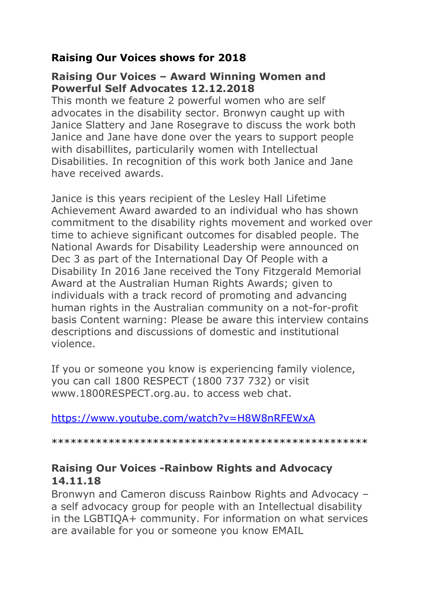## **Raising Our Voices shows for 2018**

### **Raising Our Voices – Award Winning Women and Powerful Self Advocates 12.12.2018**

This month we feature 2 powerful women who are self advocates in the disability sector. Bronwyn caught up with Janice Slattery and Jane Rosegrave to discuss the work both Janice and Jane have done over the years to support people with disabillites, particularily women with Intellectual Disabilities. In recognition of this work both Janice and Jane have received awards.

Janice is this years recipient of the Lesley Hall Lifetime Achievement Award awarded to an individual who has shown commitment to the disability rights movement and worked over time to achieve significant outcomes for disabled people. The National Awards for Disability Leadership were announced on Dec 3 as part of the International Day Of People with a Disability In 2016 Jane received the Tony Fitzgerald Memorial Award at the Australian Human Rights Awards; given to individuals with a track record of promoting and advancing human rights in the Australian community on a not-for-profit basis Content warning: Please be aware this interview contains descriptions and discussions of domestic and institutional violence.

If you or someone you know is experiencing family violence, you can call 1800 RESPECT (1800 737 732) or visit www.1800RESPECT.org.au. to access web chat.

<https://www.youtube.com/watch?v=H8W8nRFEWxA>

\*\*\*\*\*\*\*\*\*\*\*\*\*\*\*\*\*\*\*\*\*\*\*\*\*\*\*\*\*\*\*\*\*\*\*\*\*\*\*\*\*\*\*\*\*\*\*\*\*\*

### **Raising Our Voices -Rainbow Rights and Advocacy 14.11.18**

Bronwyn and Cameron discuss Rainbow Rights and Advocacy – a self advocacy group for people with an Intellectual disability in the LGBTIQA+ community. For information on what services are available for you or someone you know EMAIL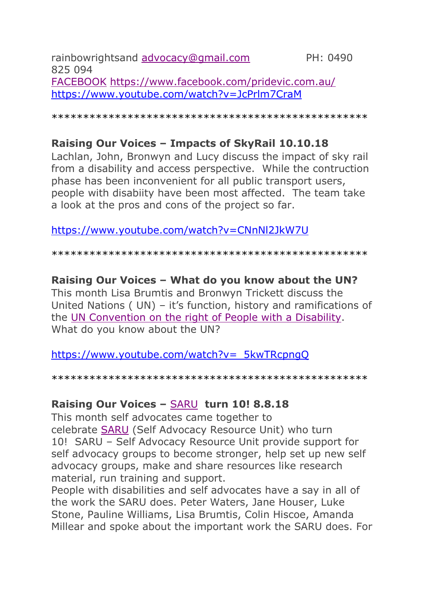rainbowrightsand [advocacy@gmail.com](mailto:advocacy@gmail.com) PH: 0490 825 094 [FACEBOOK](https://www.facebook.com/pridevic.com.au) <https://www.facebook.com/pridevic.com.au/> <https://www.youtube.com/watch?v=JcPrlm7CraM>

\*\*\*\*\*\*\*\*\*\*\*\*\*\*\*\*\*\*\*\*\*\*\*\*\*\*\*\*\*\*\*\*\*\*\*\*\*\*\*\*\*\*\*\*\*\*\*\*\*\*

### **Raising Our Voices – Impacts of SkyRail 10.10.18**

Lachlan, John, Bronwyn and Lucy discuss the impact of sky rail from a disability and access perspective. While the contruction phase has been inconvenient for all public transport users, people with disabiity have been most affected. The team take a look at the pros and cons of the project so far.

#### <https://www.youtube.com/watch?v=CNnNl2JkW7U>

\*\*\*\*\*\*\*\*\*\*\*\*\*\*\*\*\*\*\*\*\*\*\*\*\*\*\*\*\*\*\*\*\*\*\*\*\*\*\*\*\*\*\*\*\*\*\*\*\*\*

#### **Raising Our Voices – What do you know about the UN?**

This month Lisa Brumtis and Bronwyn Trickett discuss the United Nations ( UN) – it's function, history and ramifications of the UN [Convention](https://www.un.org/development/desa/disabilities/convention-on-the-rights-of-persons-with-disabilities.html) on the right of People with a Disability. What do you know about the UN?

[https://www.youtube.com/watch?v=\\_5kwTRcpngQ](https://www.youtube.com/watch?v=_5kwTRcpngQ)

\*\*\*\*\*\*\*\*\*\*\*\*\*\*\*\*\*\*\*\*\*\*\*\*\*\*\*\*\*\*\*\*\*\*\*\*\*\*\*\*\*\*\*\*\*\*\*\*\*\*

#### **Raising Our Voices –** [SARU](http://www.saru.net.au/s) **turn 10! 8.8.18**

This month self advocates came together to celebrate [SARU](http://www.saru.net.au/s) (Self Advocacy Resource Unit) who turn 10! SARU – Self Advocacy Resource Unit provide support for self advocacy groups to become stronger, help set up new self advocacy groups, make and share resources like research material, run training and support.

People with disabilities and self advocates have a say in all of the work the SARU does. Peter Waters, Jane Houser, Luke Stone, Pauline Williams, Lisa Brumtis, Colin Hiscoe, Amanda Millear and spoke about the important work the SARU does. For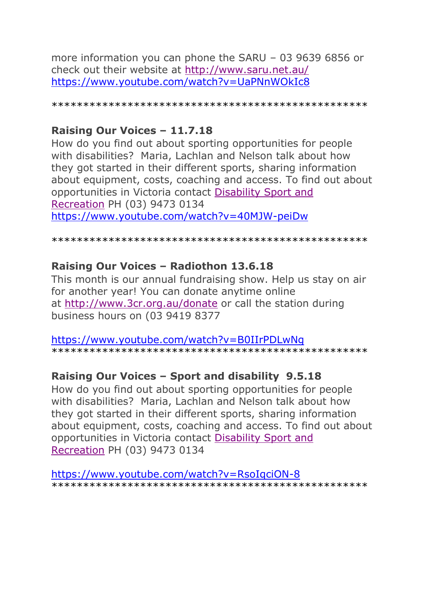more information you can phone the SARU – 03 9639 6856 or check out their website at <http://www.saru.net.au/> <https://www.youtube.com/watch?v=UaPNnWOkIc8>

\*\*\*\*\*\*\*\*\*\*\*\*\*\*\*\*\*\*\*\*\*\*\*\*\*\*\*\*\*\*\*\*\*\*\*\*\*\*\*\*\*\*\*\*\*\*\*\*\*\*

### **Raising Our Voices – 11.7.18**

How do you find out about sporting opportunities for people with disabilities? Maria, Lachlan and Nelson talk about how they got started in their different sports, sharing information about equipment, costs, coaching and access. To find out about opportunities in Victoria contact [Disability](https://dsr.org.au/) Sport and [Recreation](https://dsr.org.au/) PH (03) 9473 0134 <https://www.youtube.com/watch?v=40MJW-peiDw>

\*\*\*\*\*\*\*\*\*\*\*\*\*\*\*\*\*\*\*\*\*\*\*\*\*\*\*\*\*\*\*\*\*\*\*\*\*\*\*\*\*\*\*\*\*\*\*\*\*\*

### **Raising Our Voices – Radiothon 13.6.18**

This month is our annual fundraising show. Help us stay on air for another year! You can donate anytime online at [http://www.3cr.org.au/donate](https://www.youtube.com/redirect?v=B0IIrPDLwNg&redir_token=7vwyHbNwFkr5mGczrXgbogFC61Z8MTUzNzgzNzcyOEAxNTM3NzUxMzI4&event=video_description&q=http%3A%2F%2Fwww.3cr.org.au%2Fdonate) or call the station during business hours on (03 9419 8377

<https://www.youtube.com/watch?v=B0IIrPDLwNg> \*\*\*\*\*\*\*\*\*\*\*\*\*\*\*\*\*\*\*\*\*\*\*\*\*\*\*\*\*\*\*\*\*\*\*\*\*\*\*\*\*\*\*\*\*\*\*\*\*\*

## **Raising Our Voices – Sport and disability 9.5.18**

How do you find out about sporting opportunities for people with disabilities? Maria, Lachlan and Nelson talk about how they got started in their different sports, sharing information about equipment, costs, coaching and access. To find out about opportunities in Victoria contact [Disability](https://dsr.org.au/) Sport and [Recreation](https://dsr.org.au/) PH (03) 9473 0134

<https://www.youtube.com/watch?v=RsoIqciON-8> \*\*\*\*\*\*\*\*\*\*\*\*\*\*\*\*\*\*\*\*\*\*\*\*\*\*\*\*\*\*\*\*\*\*\*\*\*\*\*\*\*\*\*\*\*\*\*\*\*\*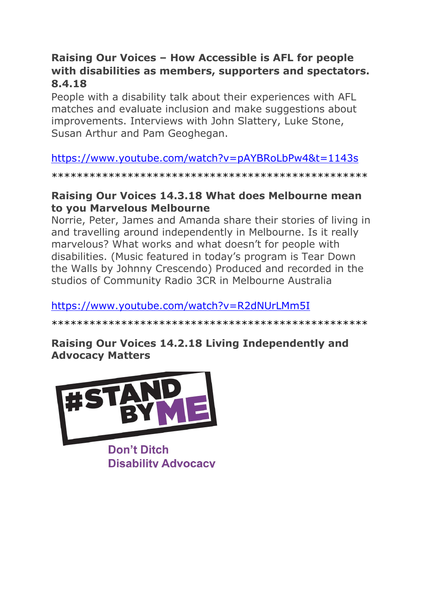## **Raising Our Voices – How Accessible is AFL for people with disabilities as members, supporters and spectators. 8.4.18**

People with a disability talk about their experiences with AFL matches and evaluate inclusion and make suggestions about improvements. Interviews with John Slattery, Luke Stone, Susan Arthur and Pam Geoghegan.

# <https://www.youtube.com/watch?v=pAYBRoLbPw4&t=1143s>

\*\*\*\*\*\*\*\*\*\*\*\*\*\*\*\*\*\*\*\*\*\*\*\*\*\*\*\*\*\*\*\*\*\*\*\*\*\*\*\*\*\*\*\*\*\*\*\*\*\*

### **Raising Our Voices 14.3.18 What does Melbourne mean to you Marvelous Melbourne**

Norrie, Peter, James and Amanda share their stories of living in and travelling around independently in Melbourne. Is it really marvelous? What works and what doesn't for people with disabilities. (Music featured in today's program is Tear Down the Walls by Johnny Crescendo) Produced and recorded in the studios of Community Radio 3CR in Melbourne Australia

## <https://www.youtube.com/watch?v=R2dNUrLMm5I>

\*\*\*\*\*\*\*\*\*\*\*\*\*\*\*\*\*\*\*\*\*\*\*\*\*\*\*\*\*\*\*\*\*\*\*\*\*\*\*\*\*\*\*\*\*\*\*\*\*\*

# **Raising Our Voices 14.2.18 Living Independently and Advocacy Matters**



**Don't Ditch Disability Advocacy**